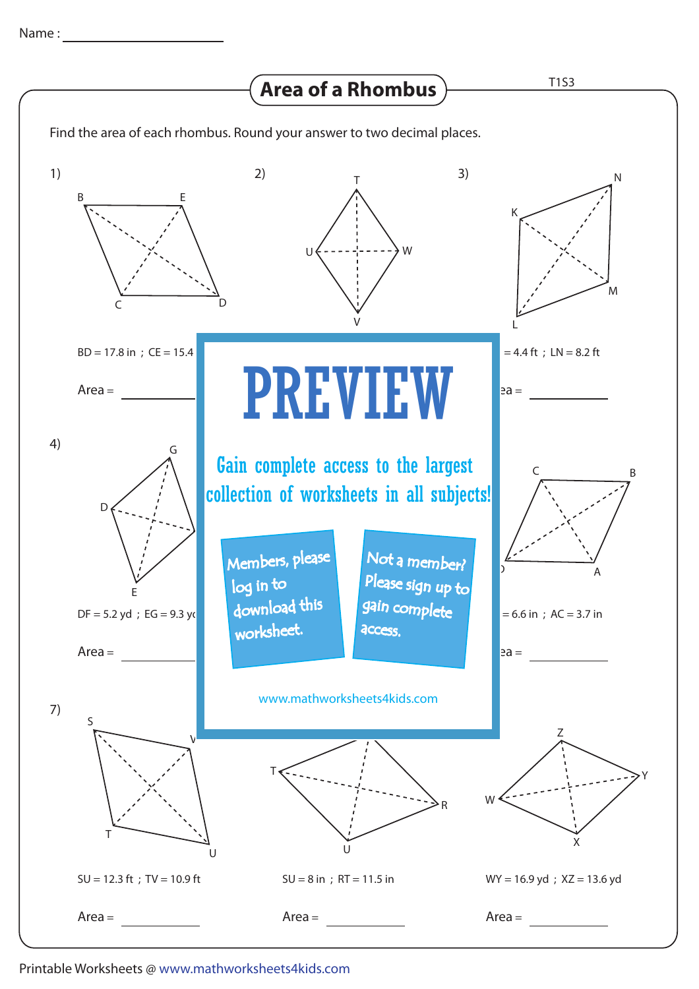